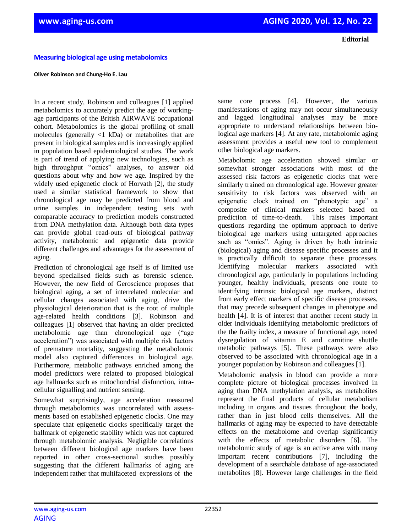**Editorial**

## **Measuring biological age using metabolomics**

## **Oliver Robinson and Chung-Ho E. Lau**

In a recent study, Robinson and colleagues [1] applied metabolomics to accurately predict the age of workingage participants of the British AIRWAVE occupational cohort. Metabolomics is the global profiling of small molecules (generally <1 kDa) or metabolites that are present in biological samples and is increasingly applied in population based epidemiological studies. The work is part of trend of applying new technologies, such as high throughput "omics" analyses, to answer old questions about why and how we age. Inspired by the widely used epigenetic clock of Horvath [2], the study used a similar statistical framework to show that chronological age may be predicted from blood and urine samples in independent testing sets with comparable accuracy to prediction models constructed from DNA methylation data. Although both data types can provide global read-outs of biological pathway activity, metabolomic and epigenetic data provide different challenges and advantages for the assessment of aging.

Prediction of chronological age itself is of limited use beyond specialised fields such as forensic science. However, the new field of Geroscience proposes that biological aging, a set of interrelated molecular and cellular changes associated with aging, drive the physiological deterioration that is the root of multiple age-related health conditions [3]. Robinson and colleagues [1] observed that having an older predicted metabolomic age than chronological age ("age acceleration") was associated with multiple risk factors of premature mortality, suggesting the metabolomic model also captured differences in biological age. Furthermore, metabolic pathways enriched among the model predictors were related to proposed biological age hallmarks such as mitochondrial disfunction, intracellular signalling and nutrient sensing.

Somewhat surprisingly, age acceleration measured through metabolomics was uncorrelated with assessments based on established epigenetic clocks. One may speculate that epigenetic clocks specifically target the hallmark of epigenetic stability which was not captured through metabolomic analysis. Negligible correlations between different biological age markers have been reported in other cross-sectional studies possibly suggesting that the different hallmarks of aging are independent rather that multifaceted expressions of the

same core process [4]. However, the various manifestations of aging may not occur simultaneously and lagged longitudinal analyses may be more appropriate to understand relationships between biological age markers [4]. At any rate, metabolomic aging assessment provides a useful new tool to complement other biological age markers.

Metabolomic age acceleration showed similar or somewhat stronger associations with most of the assessed risk factors as epigenetic clocks that were similarly trained on chronological age. However greater sensitivity to risk factors was observed with an epigenetic clock trained on "phenotypic age" a composite of clinical markers selected based on prediction of time-to-death. This raises important questions regarding the optimum approach to derive biological age markers using untargeted approaches such as "omics". Aging is driven by both intrinsic (biological) aging and disease specific processes and it is practically difficult to separate these processes. Identifying molecular markers associated with chronological age, particularly in populations including younger, healthy individuals, presents one route to identifying intrinsic biological age markers, distinct from early effect markers of specific disease processes, that may precede subsequent changes in phenotype and health [4]. It is of interest that another recent study in older individuals identifying metabolomic predictors of the the frailty index, a measure of functional age, noted dysregulation of vitamin E and carnitine shuttle metabolic pathways [5]. These pathways were also observed to be associated with chronological age in a younger population by Robinson and colleagues [1].

Metabolomic analysis in blood can provide a more complete picture of biological processes involved in aging than DNA methylation analysis, as metabolites represent the final products of cellular metabolism including in organs and tissues throughout the body, rather than in just blood cells themselves. All the hallmarks of aging may be expected to have detectable effects on the metabolome and overlap significantly with the effects of metabolic disorders [6]. The metabolomic study of age is an active area with many important recent contributions [7], including the development of a searchable database of age-associated metabolites [8]. However large challenges in the field